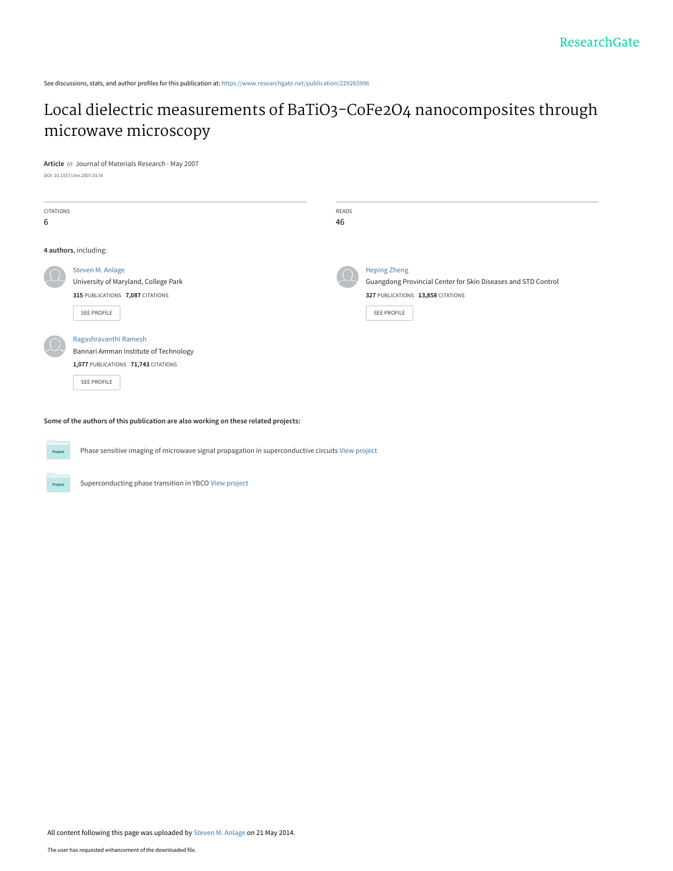See discussions, stats, and author profiles for this publication at: [https://www.researchgate.net/publication/229265996](https://www.researchgate.net/publication/229265996_Local_dielectric_measurements_of_BaTiO3-CoFe2O4_nanocomposites_through_microwave_microscopy?enrichId=rgreq-4d0856300ee03ecd710fbcea3cb4d831-XXX&enrichSource=Y292ZXJQYWdlOzIyOTI2NTk5NjtBUzo5OTQyMjEwNDk4MTUxMUAxNDAwNzE1NDg2MTIx&el=1_x_2&_esc=publicationCoverPdf)

# [Local dielectric measurements of BaTiO3-CoFe2O4 nanocomposites through](https://www.researchgate.net/publication/229265996_Local_dielectric_measurements_of_BaTiO3-CoFe2O4_nanocomposites_through_microwave_microscopy?enrichId=rgreq-4d0856300ee03ecd710fbcea3cb4d831-XXX&enrichSource=Y292ZXJQYWdlOzIyOTI2NTk5NjtBUzo5OTQyMjEwNDk4MTUxMUAxNDAwNzE1NDg2MTIx&el=1_x_3&_esc=publicationCoverPdf) microwave microscopy

**Article** in Journal of Materials Research · May 2007

DOI: 10.1557/Jmr.2007.0174

| CITATIONS<br>6 |                                                                                                                      | READS<br>46 |                                                                                                                                                 |
|----------------|----------------------------------------------------------------------------------------------------------------------|-------------|-------------------------------------------------------------------------------------------------------------------------------------------------|
|                | 4 authors, including:                                                                                                |             |                                                                                                                                                 |
|                | Steven M. Anlage<br>University of Maryland, College Park<br>315 PUBLICATIONS 7,087 CITATIONS<br>SEE PROFILE          |             | <b>Heping Zheng</b><br>Guangdong Provincial Center for Skin Diseases and STD Control<br>327 PUBLICATIONS 13,858 CITATIONS<br><b>SEE PROFILE</b> |
|                | Ragashravanthi Ramesh<br>Bannari Amman Institute of Technology<br>1,077 PUBLICATIONS 71,743 CITATIONS<br>SEE PROFILE |             |                                                                                                                                                 |

**Some of the authors of this publication are also working on these related projects:**



Project

Phase sensitive imaging of microwave signal propagation in superconductive circuits [View project](https://www.researchgate.net/project/Phase-sensitive-imaging-of-microwave-signal-propagation-in-superconductive-circuits?enrichId=rgreq-4d0856300ee03ecd710fbcea3cb4d831-XXX&enrichSource=Y292ZXJQYWdlOzIyOTI2NTk5NjtBUzo5OTQyMjEwNDk4MTUxMUAxNDAwNzE1NDg2MTIx&el=1_x_9&_esc=publicationCoverPdf)

Superconducting phase transition in YBCO [View project](https://www.researchgate.net/project/Superconducting-phase-transition-in-YBCO?enrichId=rgreq-4d0856300ee03ecd710fbcea3cb4d831-XXX&enrichSource=Y292ZXJQYWdlOzIyOTI2NTk5NjtBUzo5OTQyMjEwNDk4MTUxMUAxNDAwNzE1NDg2MTIx&el=1_x_9&_esc=publicationCoverPdf)

All content following this page was uploaded by [Steven M. Anlage](https://www.researchgate.net/profile/Steven_Anlage?enrichId=rgreq-4d0856300ee03ecd710fbcea3cb4d831-XXX&enrichSource=Y292ZXJQYWdlOzIyOTI2NTk5NjtBUzo5OTQyMjEwNDk4MTUxMUAxNDAwNzE1NDg2MTIx&el=1_x_10&_esc=publicationCoverPdf) on 21 May 2014.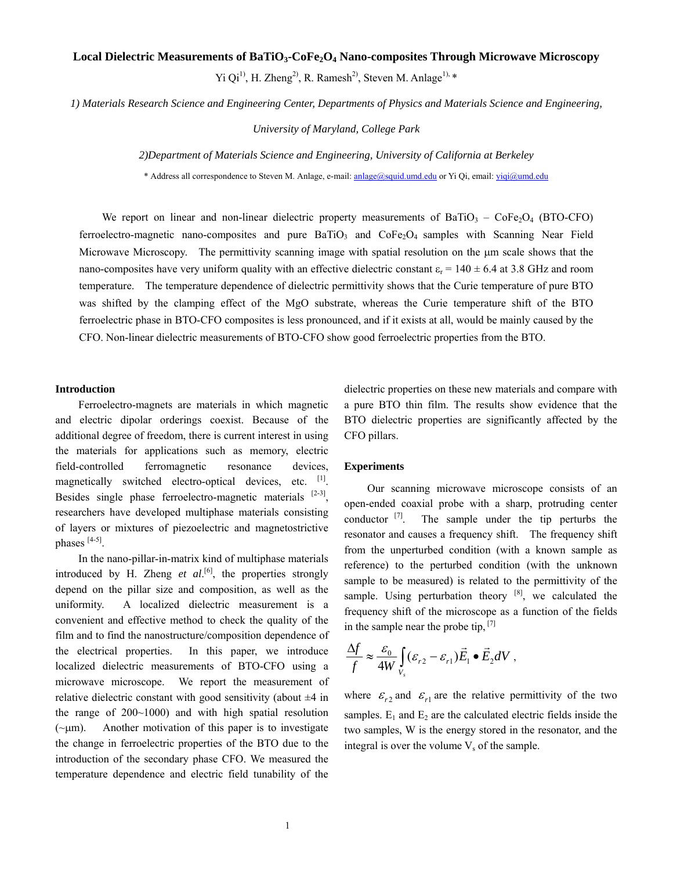### Local Dielectric Measurements of BaTiO<sub>3</sub>-CoFe<sub>2</sub>O<sub>4</sub> Nano-composites Through Microwave Microscopy

Yi Qi<sup>1)</sup>, H. Zheng<sup>2)</sup>, R. Ramesh<sup>2)</sup>, Steven M. Anlage<sup>1), \*</sup>

*1) Materials Research Science and Engineering Center, Departments of Physics and Materials Science and Engineering,* 

*University of Maryland, College Park* 

*2)Department of Materials Science and Engineering, University of California at Berkeley* 

\* Address all correspondence to Steven M. Anlage, e-mail: anlage@squid.umd.edu or Yi Qi, email: yiqi@umd.edu

We report on linear and non-linear dielectric property measurements of BaTiO<sub>3</sub> – CoFe<sub>2</sub>O<sub>4</sub> (BTO-CFO) ferroelectro-magnetic nano-composites and pure BaTiO<sub>3</sub> and CoFe<sub>2</sub>O<sub>4</sub> samples with Scanning Near Field Microwave Microscopy. The permittivity scanning image with spatial resolution on the μm scale shows that the nano-composites have very uniform quality with an effective dielectric constant  $\varepsilon_r = 140 \pm 6.4$  at 3.8 GHz and room temperature. The temperature dependence of dielectric permittivity shows that the Curie temperature of pure BTO was shifted by the clamping effect of the MgO substrate, whereas the Curie temperature shift of the BTO ferroelectric phase in BTO-CFO composites is less pronounced, and if it exists at all, would be mainly caused by the CFO. Non-linear dielectric measurements of BTO-CFO show good ferroelectric properties from the BTO.

#### **Introduction**

 Ferroelectro-magnets are materials in which magnetic and electric dipolar orderings coexist. Because of the additional degree of freedom, there is current interest in using the materials for applications such as memory, electric field-controlled ferromagnetic resonance devices, magnetically switched electro-optical devices, etc. [1]. Besides single phase ferroelectro-magnetic materials [2**-**3], researchers have developed multiphase materials consisting of layers or mixtures of piezoelectric and magnetostrictive phases [4-5].

In the nano-pillar-in-matrix kind of multiphase materials introduced by H. Zheng  $et$   $al$ <sup>[6]</sup>, the properties strongly depend on the pillar size and composition, as well as the uniformity. A localized dielectric measurement is a convenient and effective method to check the quality of the film and to find the nanostructure/composition dependence of the electrical properties. In this paper, we introduce localized dielectric measurements of BTO-CFO using a microwave microscope. We report the measurement of relative dielectric constant with good sensitivity (about  $\pm 4$  in the range of 200~1000) and with high spatial resolution  $(-\mu m)$ . Another motivation of this paper is to investigate the change in ferroelectric properties of the BTO due to the introduction of the secondary phase CFO. We measured the temperature dependence and electric field tunability of the

dielectric properties on these new materials and compare with a pure BTO thin film. The results show evidence that the BTO dielectric properties are significantly affected by the CFO pillars.

#### **Experiments**

Our scanning microwave microscope consists of an open-ended coaxial probe with a sharp, protruding center conductor  $^{[7]}$ . The sample under the tip perturbs the resonator and causes a frequency shift. The frequency shift from the unperturbed condition (with a known sample as reference) to the perturbed condition (with the unknown sample to be measured) is related to the permittivity of the sample. Using perturbation theory  $[8]$ , we calculated the frequency shift of the microscope as a function of the fields in the sample near the probe tip, [7]

$$
\frac{\Delta f}{f} \approx \frac{\varepsilon_0}{4W} \int_{V_s} (\varepsilon_{r2} - \varepsilon_{r1}) \vec{E}_1 \bullet \vec{E}_2 dV ,
$$

where  $\varepsilon_{r2}$  and  $\varepsilon_{r1}$  are the relative permittivity of the two samples.  $E_1$  and  $E_2$  are the calculated electric fields inside the two samples, W is the energy stored in the resonator, and the integral is over the volume  $V_s$  of the sample.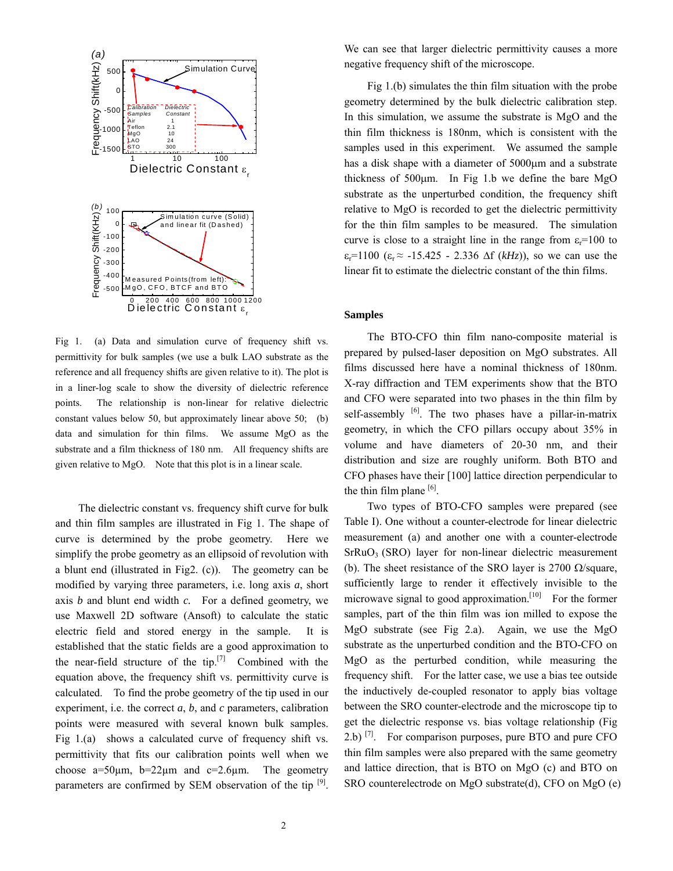

Fig 1. (a) Data and simulation curve of frequency shift vs. permittivity for bulk samples (we use a bulk LAO substrate as the reference and all frequency shifts are given relative to it). The plot is in a liner-log scale to show the diversity of dielectric reference points. The relationship is non-linear for relative dielectric constant values below 50, but approximately linear above 50; (b) data and simulation for thin films. We assume MgO as the substrate and a film thickness of 180 nm. All frequency shifts are given relative to MgO. Note that this plot is in a linear scale.

The dielectric constant vs. frequency shift curve for bulk and thin film samples are illustrated in Fig 1. The shape of curve is determined by the probe geometry. Here we simplify the probe geometry as an ellipsoid of revolution with a blunt end (illustrated in Fig2. (c)). The geometry can be modified by varying three parameters, i.e. long axis *a*, short axis *b* and blunt end width *c.* For a defined geometry, we use Maxwell 2D software (Ansoft) to calculate the static electric field and stored energy in the sample. It is established that the static fields are a good approximation to the near-field structure of the tip. $[7]$  Combined with the equation above, the frequency shift vs. permittivity curve is calculated. To find the probe geometry of the tip used in our experiment, i.e. the correct *a*, *b*, and *c* parameters, calibration points were measured with several known bulk samples. Fig 1.(a) shows a calculated curve of frequency shift vs. permittivity that fits our calibration points well when we choose a=50 $\mu$ m, b=22 $\mu$ m and c=2.6 $\mu$ m. The geometry parameters are confirmed by SEM observation of the tip [9].

We can see that larger dielectric permittivity causes a more negative frequency shift of the microscope.

Fig 1.(b) simulates the thin film situation with the probe geometry determined by the bulk dielectric calibration step. In this simulation, we assume the substrate is MgO and the thin film thickness is 180nm, which is consistent with the samples used in this experiment. We assumed the sample has a disk shape with a diameter of 5000μm and a substrate thickness of 500μm. In Fig 1.b we define the bare MgO substrate as the unperturbed condition, the frequency shift relative to MgO is recorded to get the dielectric permittivity for the thin film samples to be measured. The simulation curve is close to a straight line in the range from  $\varepsilon_r=100$  to  $\varepsilon_r = 1100$  ( $\varepsilon_r \approx -15.425$  - 2.336  $\Delta f$  ( $kHz$ )), so we can use the linear fit to estimate the dielectric constant of the thin films.

# **Samples**

 The BTO-CFO thin film nano-composite material is prepared by pulsed-laser deposition on MgO substrates. All films discussed here have a nominal thickness of 180nm. X-ray diffraction and TEM experiments show that the BTO and CFO were separated into two phases in the thin film by self-assembly  $[6]$ . The two phases have a pillar-in-matrix geometry, in which the CFO pillars occupy about 35% in volume and have diameters of 20-30 nm, and their distribution and size are roughly uniform. Both BTO and CFO phases have their [100] lattice direction perpendicular to the thin film plane  $[6]$ .

Two types of BTO-CFO samples were prepared (see Table I). One without a counter-electrode for linear dielectric measurement (a) and another one with a counter-electrode  $SFRuO<sub>3</sub>$  (SRO) layer for non-linear dielectric measurement (b). The sheet resistance of the SRO layer is 2700  $\Omega$ /square, sufficiently large to render it effectively invisible to the microwave signal to good approximation.<sup>[10]</sup> For the former samples, part of the thin film was ion milled to expose the MgO substrate (see Fig 2.a). Again, we use the MgO substrate as the unperturbed condition and the BTO-CFO on MgO as the perturbed condition, while measuring the frequency shift. For the latter case, we use a bias tee outside the inductively de-coupled resonator to apply bias voltage between the SRO counter-electrode and the microscope tip to get the dielectric response vs. bias voltage relationship (Fig 2.b)  $^{[7]}$ . For comparison purposes, pure BTO and pure CFO thin film samples were also prepared with the same geometry and lattice direction, that is BTO on MgO (c) and BTO on SRO counterelectrode on MgO substrate(d), CFO on MgO (e)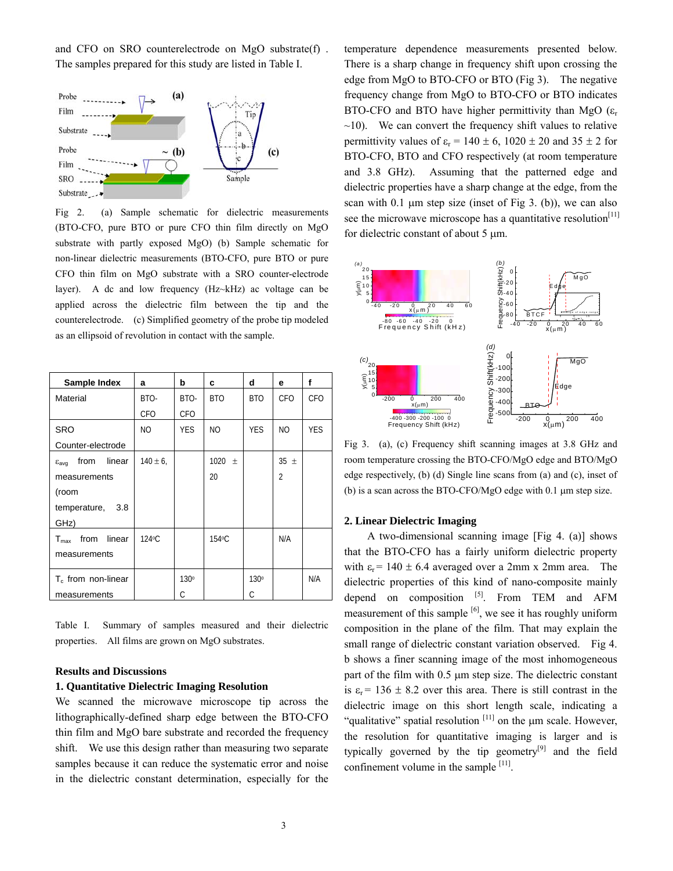and CFO on SRO counterelectrode on MgO substrate(f) . The samples prepared for this study are listed in Table I.



Fig 2. (a) Sample schematic for dielectric measurements (BTO-CFO, pure BTO or pure CFO thin film directly on MgO substrate with partly exposed MgO) (b) Sample schematic for non-linear dielectric measurements (BTO-CFO, pure BTO or pure CFO thin film on MgO substrate with a SRO counter-electrode layer). A dc and low frequency (Hz~kHz) ac voltage can be applied across the dielectric film between the tip and the counterelectrode. (c) Simplified geometry of the probe tip modeled as an ellipsoid of revolution in contact with the sample.

| Sample Index                              | a             | b          | c          | d                | е              | f          |
|-------------------------------------------|---------------|------------|------------|------------------|----------------|------------|
| Material                                  | BTO-          | BTO-       | <b>BTO</b> | BTO              | <b>CFO</b>     | CFO        |
|                                           | CFO           | CFO        |            |                  |                |            |
| <b>SRO</b>                                | NO            | <b>YES</b> | NO         | <b>YES</b>       | NO             | <b>YES</b> |
| Counter-electrode                         |               |            |            |                  |                |            |
| from linear<br>$\varepsilon_{\text{avg}}$ | $140 \pm 6$ , |            | 1020 $\pm$ |                  | $35 \pm$       |            |
| measurements                              |               |            | 20         |                  | $\overline{2}$ |            |
| (room                                     |               |            |            |                  |                |            |
| temperature, 3.8                          |               |            |            |                  |                |            |
| GHz)                                      |               |            |            |                  |                |            |
| linear<br>from<br>$T_{\sf max}$           | $124$ °C      |            | 154 °C     |                  | N/A            |            |
| measurements                              |               |            |            |                  |                |            |
| $T_c$ from non-linear                     |               | 130°       |            | 130 <sup>°</sup> |                | N/A        |
| measurements                              |               | C.         |            | C.               |                |            |

Table I. Summary of samples measured and their dielectric properties. All films are grown on MgO substrates.

# **Results and Discussions**

### **1. Quantitative Dielectric Imaging Resolution**

We scanned the microwave microscope tip across the lithographically-defined sharp edge between the BTO-CFO thin film and MgO bare substrate and recorded the frequency shift. We use this design rather than measuring two separate samples because it can reduce the systematic error and noise in the dielectric constant determination, especially for the temperature dependence measurements presented below. There is a sharp change in frequency shift upon crossing the edge from MgO to BTO-CFO or BTO (Fig 3). The negative frequency change from MgO to BTO-CFO or BTO indicates BTO-CFO and BTO have higher permittivity than MgO  $(\varepsilon_r)$  $\sim$ 10). We can convert the frequency shift values to relative permittivity values of  $\varepsilon_r = 140 \pm 6$ ,  $1020 \pm 20$  and  $35 \pm 2$  for BTO-CFO, BTO and CFO respectively (at room temperature and 3.8 GHz). Assuming that the patterned edge and dielectric properties have a sharp change at the edge, from the scan with  $0.1$  μm step size (inset of Fig 3. (b)), we can also see the microwave microscope has a quantitative resolution<sup>[11]</sup> for dielectric constant of about 5 μm.



Fig 3. (a), (c) Frequency shift scanning images at 3.8 GHz and room temperature crossing the BTO-CFO/MgO edge and BTO/MgO edge respectively, (b) (d) Single line scans from (a) and (c), inset of (b) is a scan across the BTO-CFO/MgO edge with 0.1 μm step size.

# **2. Linear Dielectric Imaging**

A two-dimensional scanning image [Fig 4. (a)] shows that the BTO-CFO has a fairly uniform dielectric property with  $\varepsilon_r$  = 140 ± 6.4 averaged over a 2mm x 2mm area. The dielectric properties of this kind of nano-composite mainly depend on composition  $^{[5]}$ . From TEM and AFM measurement of this sample  $[6]$ , we see it has roughly uniform composition in the plane of the film. That may explain the small range of dielectric constant variation observed. Fig 4. b shows a finer scanning image of the most inhomogeneous part of the film with 0.5 μm step size. The dielectric constant is  $\varepsilon_r$  = 136  $\pm$  8.2 over this area. There is still contrast in the dielectric image on this short length scale, indicating a "qualitative" spatial resolution  $[11]$  on the  $\mu$ m scale. However, the resolution for quantitative imaging is larger and is typically governed by the tip geometry<sup>[9]</sup> and the field confinement volume in the sample [11].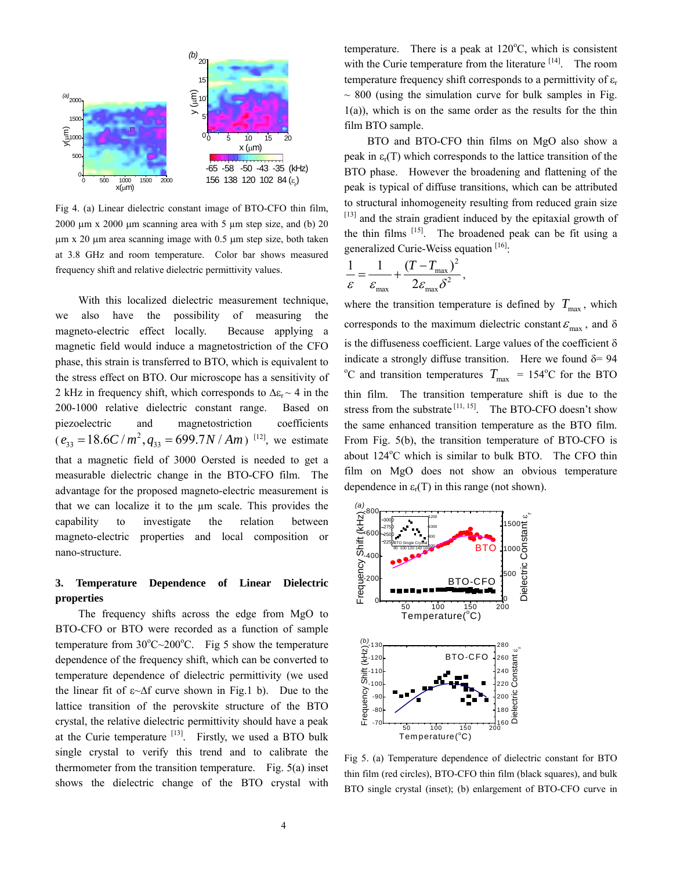

Fig 4. (a) Linear dielectric constant image of BTO-CFO thin film,  $2000 \mu m \times 2000 \mu m$  scanning area with 5 μm step size, and (b) 20 μm x 20 μm area scanning image with 0.5 μm step size, both taken at 3.8 GHz and room temperature. Color bar shows measured frequency shift and relative dielectric permittivity values.

With this localized dielectric measurement technique, we also have the possibility of measuring the magneto-electric effect locally. Because applying a magnetic field would induce a magnetostriction of the CFO phase, this strain is transferred to BTO, which is equivalent to the stress effect on BTO. Our microscope has a sensitivity of 2 kHz in frequency shift, which corresponds to  $\Delta \varepsilon_r \sim 4$  in the 200-1000 relative dielectric constant range. Based on piezoelectric and magnetostriction coefficients  $(e_{33} = 18.6 C/m^2, q_{33} = 699.7 N/Mm)^{[12]}$ , we estimate that a magnetic field of 3000 Oersted is needed to get a measurable dielectric change in the BTO-CFO film. The advantage for the proposed magneto-electric measurement is that we can localize it to the µm scale. This provides the capability to investigate the relation between magneto-electric properties and local composition or nano-structure.

# **3. Temperature Dependence of Linear Dielectric properties**

The frequency shifts across the edge from MgO to BTO-CFO or BTO were recorded as a function of sample temperature from  $30^{\circ}$ C $\sim$ 200 $^{\circ}$ C. Fig 5 show the temperature dependence of the frequency shift, which can be converted to temperature dependence of dielectric permittivity (we used the linear fit of  $\varepsilon \sim \Delta f$  curve shown in Fig.1 b). Due to the lattice transition of the perovskite structure of the BTO crystal, the relative dielectric permittivity should have a peak at the Curie temperature  $[13]$ . Firstly, we used a BTO bulk single crystal to verify this trend and to calibrate the thermometer from the transition temperature. Fig. 5(a) inset shows the dielectric change of the BTO crystal with

temperature. There is a peak at  $120^{\circ}$ C, which is consistent with the Curie temperature from the literature  $[14]$ . The room temperature frequency shift corresponds to a permittivity of  $\varepsilon_r$  $\sim$  800 (using the simulation curve for bulk samples in Fig.  $1(a)$ ), which is on the same order as the results for the thin film BTO sample.

BTO and BTO-CFO thin films on MgO also show a peak in  $\varepsilon_r(T)$  which corresponds to the lattice transition of the BTO phase. However the broadening and flattening of the peak is typical of diffuse transitions, which can be attributed to structural inhomogeneity resulting from reduced grain size [13] and the strain gradient induced by the epitaxial growth of the thin films  $[15]$ . The broadened peak can be fit using a generalized Curie-Weiss equation [16]:

$$
\frac{1}{\varepsilon} = \frac{1}{\varepsilon_{\text{max}}} + \frac{(T - T_{\text{max}})^2}{2\varepsilon_{\text{max}}\delta^2},
$$

where the transition temperature is defined by  $T_{\text{max}}$ , which corresponds to the maximum dielectric constant  $\varepsilon_{\text{max}}$ , and  $\delta$ is the diffuseness coefficient. Large values of the coefficient  $\delta$ indicate a strongly diffuse transition. Here we found  $\delta = 94$ <sup>o</sup>C and transition temperatures  $T_{\text{max}} = 154$ <sup>o</sup>C for the BTO thin film. The transition temperature shift is due to the stress from the substrate  $[11, 15]$ . The BTO-CFO doesn't show the same enhanced transition temperature as the BTO film. From Fig. 5(b), the transition temperature of BTO-CFO is about 124°C which is similar to bulk BTO. The CFO thin film on MgO does not show an obvious temperature dependence in  $\varepsilon_r(T)$  in this range (not shown).



Fig 5. (a) Temperature dependence of dielectric constant for BTO thin film (red circles), BTO-CFO thin film (black squares), and bulk BTO single crystal (inset); (b) enlargement of BTO-CFO curve in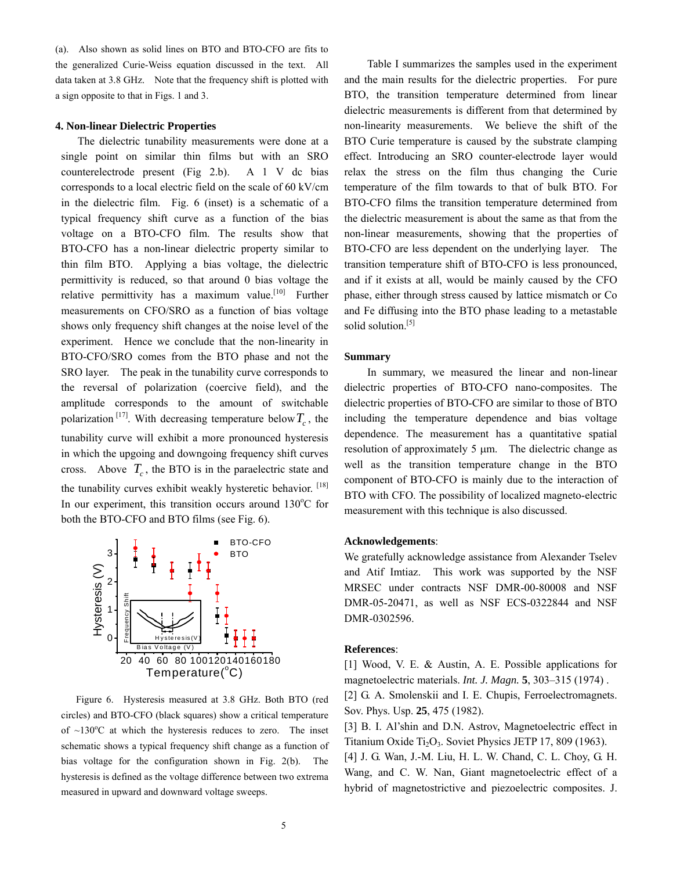(a). Also shown as solid lines on BTO and BTO-CFO are fits to the generalized Curie-Weiss equation discussed in the text. All data taken at 3.8 GHz. Note that the frequency shift is plotted with a sign opposite to that in Figs. 1 and 3.

# **4. Non-linear Dielectric Properties**

The dielectric tunability measurements were done at a single point on similar thin films but with an SRO counterelectrode present (Fig 2.b). A 1 V dc bias corresponds to a local electric field on the scale of 60 kV/cm in the dielectric film. Fig. 6 (inset) is a schematic of a typical frequency shift curve as a function of the bias voltage on a BTO-CFO film. The results show that BTO-CFO has a non-linear dielectric property similar to thin film BTO. Applying a bias voltage, the dielectric permittivity is reduced, so that around 0 bias voltage the relative permittivity has a maximum value.<sup>[10]</sup> Further measurements on CFO/SRO as a function of bias voltage shows only frequency shift changes at the noise level of the experiment. Hence we conclude that the non-linearity in BTO-CFO/SRO comes from the BTO phase and not the SRO layer. The peak in the tunability curve corresponds to the reversal of polarization (coercive field), and the amplitude corresponds to the amount of switchable polarization<sup>[17]</sup>. With decreasing temperature below  $T_c$ , the tunability curve will exhibit a more pronounced hysteresis in which the upgoing and downgoing frequency shift curves cross. Above  $T_c$ , the BTO is in the paraelectric state and the tunability curves exhibit weakly hysteretic behavior. [18] In our experiment, this transition occurs around  $130^{\circ}$ C for both the BTO-CFO and BTO films (see Fig. 6).



Figure 6. Hysteresis measured at 3.8 GHz. Both BTO (red circles) and BTO-CFO (black squares) show a critical temperature of  $\sim$ 130 $\degree$ C at which the hysteresis reduces to zero. The inset schematic shows a typical frequency shift change as a function of bias voltage for the configuration shown in Fig. 2(b). The hysteresis is defined as the voltage difference between two extrema measured in upward and downward voltage sweeps.

 Table I summarizes the samples used in the experiment and the main results for the dielectric properties. For pure BTO, the transition temperature determined from linear dielectric measurements is different from that determined by non-linearity measurements. We believe the shift of the BTO Curie temperature is caused by the substrate clamping effect. Introducing an SRO counter-electrode layer would relax the stress on the film thus changing the Curie temperature of the film towards to that of bulk BTO. For BTO-CFO films the transition temperature determined from the dielectric measurement is about the same as that from the non-linear measurements, showing that the properties of BTO-CFO are less dependent on the underlying layer. The transition temperature shift of BTO-CFO is less pronounced, and if it exists at all, would be mainly caused by the CFO phase, either through stress caused by lattice mismatch or Co and Fe diffusing into the BTO phase leading to a metastable solid solution.<sup>[5]</sup>

#### **Summary**

In summary, we measured the linear and non-linear dielectric properties of BTO-CFO nano-composites. The dielectric properties of BTO-CFO are similar to those of BTO including the temperature dependence and bias voltage dependence. The measurement has a quantitative spatial resolution of approximately 5 μm. The dielectric change as well as the transition temperature change in the BTO component of BTO-CFO is mainly due to the interaction of BTO with CFO. The possibility of localized magneto-electric measurement with this technique is also discussed.

#### **Acknowledgements**:

We gratefully acknowledge assistance from Alexander Tselev and Atif Imtiaz. This work was supported by the NSF MRSEC under contracts NSF DMR-00-80008 and NSF DMR-05-20471, as well as NSF ECS-0322844 and NSF DMR-0302596.

#### **References**:

[1] Wood, V. E. & Austin, A. E. Possible applications for magnetoelectric materials. *Int. J. Magn.* **5**, 303–315 (1974) . [2] G. A. Smolenskii and I. E. Chupis, Ferroelectromagnets.

Sov. Phys. Usp. **25**, 475 (1982).

[3] B. I. Al'shin and D.N. Astrov, Magnetoelectric effect in Titanium Oxide Ti<sub>2</sub>O<sub>3</sub>. Soviet Physics JETP 17, 809 (1963). [4] J. G. Wan, J.-M. Liu, H. L. W. Chand, C. L. Choy, G. H.

Wang, and C. W. Nan, Giant magnetoelectric effect of a hybrid of magnetostrictive and piezoelectric composites. J.